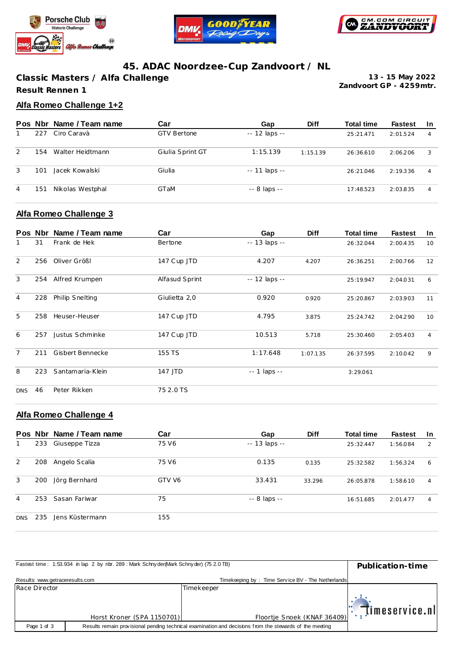





## **45. ADAC Noordzee-Cup Zandvoort / NL**

**Classic Masters / Alfa Challenge Result Rennen 1**

**Zandvoort GP - 4259mtr. 13 - 15 May 2022**

## **Alfa Romeo Challenge 1+2**

|   |     | Pos Nbr Name / Team name | Car                | Gap            | <b>Diff</b> | <b>Total time</b> | <b>Fastest</b> | -In |
|---|-----|--------------------------|--------------------|----------------|-------------|-------------------|----------------|-----|
|   | 227 | Ciro Caravà              | <b>GTV Bertone</b> | $-12$ laps $-$ |             | 25:21.471         | 2:01.524       | 4   |
| 2 | 154 | Walter Heidtmann         | Giulia Sprint GT   | 1:15.139       | 1:15.139    | 26:36.610         | 2:06.206       | 3   |
| 3 | 101 | Jacek Kowalski           | Giulia             | $-11$ laps $-$ |             | 26:21.046         | 2:19.336       | 4   |
| 4 | 151 | Nikolas Westphal         | GTaM               | -- 8 laps --   |             | 17:48.523         | 2:03.835       | 4   |

#### **Alfa Romeo Challenge 3**

|                | Pos Nbr | Name / Team name | Car            | Gap                | <b>Diff</b> | <b>Total time</b> | <b>Fastest</b> | <u>In</u> |
|----------------|---------|------------------|----------------|--------------------|-------------|-------------------|----------------|-----------|
|                | 31      | Frank de Hek     | Bertone        | -- 13 laps --      |             | 26:32.044         | 2:00.435       | 10        |
| 2              | 256     | Oliver Größl     | 147 Cup JTD    | 4.207              | 4.207       | 26:36.251         | 2:00.766       | 12        |
| 3              | 254     | Alfred Krumpen   | Alfasud Sprint | -- 12 laps --      |             | 25:19.947         | 2:04.031       | 6         |
| $\overline{4}$ | 228     | Philip Snelting  | Giulietta 2,0  | 0.920              | 0.920       | 25:20.867         | 2:03.903       | 11        |
| 5              | 258     | Heuser-Heuser    | 147 Cup JTD    | 4.795              | 3.875       | 25:24.742         | 2:04.290       | 10        |
| 6              | 257     | Justus Schminke  | 147 Cup JTD    | 10.513             | 5.718       | 25:30.460         | 2:05.403       | 4         |
| $\overline{7}$ | 211     | Gisbert Bennecke | 155 TS         | 1:17.648           | 1:07.135    | 26:37.595         | 2:10.042       | 9         |
| 8              | 223     | Santamaria-Klein | 147 JTD        | $- - 1$ laps $- -$ |             | 3:29.061          |                |           |
| <b>DNS</b>     | 46      | Peter Rikken     | 75 2.0 TS      |                    |             |                   |                |           |

## **Alfa Romeo Challenge 4**

|            |     | Pos Nbr Name / Team name | Car    | Gap                 | <b>Diff</b> | <b>Total time</b> | <b>Fastest</b> | -In            |
|------------|-----|--------------------------|--------|---------------------|-------------|-------------------|----------------|----------------|
|            | 233 | Giuseppe Tizza           | 75 V6  | $- - 13$ laps $- -$ |             | 25:32.447         | 1:56.084       | $\overline{2}$ |
| 2          | 208 | Angelo Scalia            | 75 V6  | 0.135               | 0.135       | 25:32.582         | 1:56.324       | 6              |
| 3          | 200 | Jörg Bernhard            | GTV V6 | 33.431              | 33.296      | 26:05.878         | 1:58.610       | $\overline{4}$ |
| 4          | 253 | Sasan Fariwar            | 75     | $-8$ laps $-$       |             | 16:51.685         | 2:01.477       | $\overline{4}$ |
| <b>DNS</b> | 235 | Jens Küstermann          | 155    |                     |             |                   |                |                |

|                                 | Fastest time: 1:53.934 in lap 2 by nbr. 289 : Mark Schny der (Mark Schny der) (75 2.0 TB)<br>Publication-time |                                                                                                         |                            |  |
|---------------------------------|---------------------------------------------------------------------------------------------------------------|---------------------------------------------------------------------------------------------------------|----------------------------|--|
| Results: www.getraceresults.com |                                                                                                               | Timekeeping by: Time Service BV - The Netherlands                                                       |                            |  |
| Race Director                   |                                                                                                               | Timekeeper                                                                                              |                            |  |
|                                 |                                                                                                               |                                                                                                         | $\mathbb{R}$ imeservice.nl |  |
|                                 | Horst Kroner (SPA 1150701)                                                                                    | Floortje Snoek (KNAF 36409)                                                                             |                            |  |
| Page 1 of 3                     |                                                                                                               | Results remain provisional pending technical examination and decisions from the stewards of the meeting |                            |  |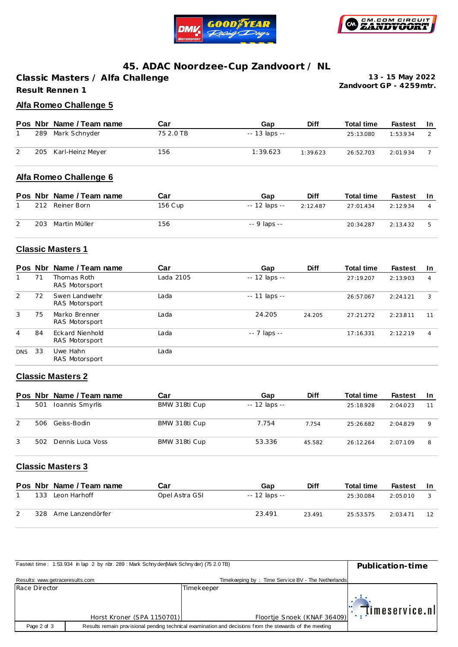



## **45. ADAC Noordzee-Cup Zandvoort / NL**

**Classic Masters / Alfa Challenge Result Rennen 1**

**Zandvoort GP - 4259mtr. 13 - 15 May 2022**

#### **Alfa Romeo Challenge 5**

|     | Pos Nbr Name / Team name | Car       | Gap           | <b>Diff</b> | <b>Total time</b> | Fastest  | - In |
|-----|--------------------------|-----------|---------------|-------------|-------------------|----------|------|
| 289 | Mark Schnyder            | 75 2.0 TB | -- 13 laps -- |             | 25:13.080         | 1:53.934 |      |
|     | 205 Karl-Heinz Meyer     | 156       | 1:39.623      | 1:39.623    | 26:52.703         | 2:01.934 |      |

#### **Alfa Romeo Challenge 6**

|     | Pos Nbr Name / Team name | Car     | Gap           | <b>Diff</b> | <b>Total time</b> | Fastest  | - In |
|-----|--------------------------|---------|---------------|-------------|-------------------|----------|------|
| 212 | Reiner Born              | 156 Cup | -- 12 laps -- | 2:12.487    | 27:01.434         | 2:12.934 |      |
| 203 | Martin Müller            | 156     | -- 9 laps --  |             | 20:34.287         | 2:13.432 |      |

## **Classic Masters 1**

|                | Pos Nbr | Name / Team name                  | Car       | Gap                | <b>Diff</b> | <b>Total time</b> | <b>Fastest</b> | <b>In</b> |
|----------------|---------|-----------------------------------|-----------|--------------------|-------------|-------------------|----------------|-----------|
| 1              | 71      | Thomas Roth<br>RAS Motorsport     | Lada 2105 | $-12$ laps $-$     |             | 27:19.207         | 2:13.903       | 4         |
| 2              | 72      | Swen Landwehr<br>RAS Motorsport   | Lada      | $-11$ laps $-$     |             | 26:57.067         | 2:24.121       | 3         |
| 3              | 75      | Marko Brenner<br>RAS Motorsport   | Lada      | 24.205             | 24.205      | 27:21.272         | 2:23.811       | 11        |
| $\overline{4}$ | 84      | Eckard Nienhold<br>RAS Motorsport | Lada      | $- - 7$ laps $- -$ |             | 17:16.331         | 2:12.219       | 4         |
| <b>DNS</b>     | 33      | Uwe Hahn<br>RAS Motorsport        | Lada      |                    |             |                   |                |           |

#### **Classic Masters 2**

|     | Pos Nbr Name / Team name | Car           | Gap           | <b>Diff</b> | <b>Total time</b> | <b>Fastest</b> | -In |
|-----|--------------------------|---------------|---------------|-------------|-------------------|----------------|-----|
| 501 | Ioannis Smyrlis          | BMW 318ti Cup | -- 12 laps -- |             | 25:18.928         | 2:04.023       | 11  |
| 506 | Geiss-Bodin              | BMW 318ti Cup | 7.754         | 7.754       | 25:26.682         | 2:04.829       | Q   |
| 502 | Dennis Luca Voss         | BMW 318ti Cup | 53.336        | 45.582      | 26:12.264         | 2:07.109       | 8   |

#### **Classic Masters 3**

|     | Pos Nbr Name / Team name | Car            | Gap           | <b>Diff</b> | <b>Total time</b> | Fastest  | -In              |
|-----|--------------------------|----------------|---------------|-------------|-------------------|----------|------------------|
| 133 | Leon Harhoff             | Opel Astra GSI | -- 12 laps -- |             | 25:30.084         | 2:05.010 |                  |
| 328 | Arne Lanzendörfer        |                | 23.491        | 23 4 9 1    | 25:53.575         | 2:03.471 | 12 <sup>12</sup> |

|                                 | Fastest time: 1:53.934 in lap 2 by nbr. 289: Mark Schny der (Mark Schny der) (75 2.0 TB)<br>Publication-time |                                                                                                         |                             |  |  |  |
|---------------------------------|--------------------------------------------------------------------------------------------------------------|---------------------------------------------------------------------------------------------------------|-----------------------------|--|--|--|
| Results: www.getraceresults.com |                                                                                                              | Timekeeping by: Time Service BV - The Netherlands                                                       |                             |  |  |  |
| Race Director                   |                                                                                                              | Timekeeper                                                                                              |                             |  |  |  |
|                                 |                                                                                                              |                                                                                                         | $\mathbb{E}$ (imeservice.nl |  |  |  |
|                                 | Horst Kroner (SPA 1150701)                                                                                   | Floortje Snoek (KNAF 36409)                                                                             |                             |  |  |  |
| Page 2 of 3                     |                                                                                                              | Results remain provisional pending technical examination and decisions from the stewards of the meeting |                             |  |  |  |